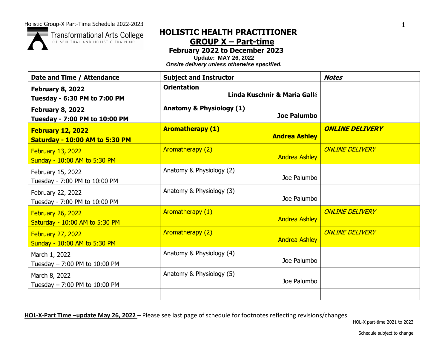**Transformational Arts College** OF SPIRITUAL AND HOLISTIC TRAINING

# **HOLISTIC HEALTH PRACTITIONER GROUP X – Part-time**

**February 2022 to December 2023**

**Update: MAY 26, 2022**

*Onsite delivery unless otherwise specified.*

| Date and Time / Attendance                                 | <b>Subject and Instructor</b>                             | <b>Notes</b>           |
|------------------------------------------------------------|-----------------------------------------------------------|------------------------|
| February 8, 2022<br>Tuesday - 6:30 PM to 7:00 PM           | <b>Orientation</b><br>Linda Kuschnir & Maria Gallé        |                        |
| <b>February 8, 2022</b><br>Tuesday - 7:00 PM to 10:00 PM   | <b>Anatomy &amp; Physiology (1)</b><br><b>Joe Palumbo</b> |                        |
| February 12, 2022<br><b>Saturday - 10:00 AM to 5:30 PM</b> | <b>Aromatherapy (1)</b><br><b>Andrea Ashley</b>           | <b>ONLINE DELIVERY</b> |
| February 13, 2022<br>Sunday - 10:00 AM to 5:30 PM          | Aromatherapy (2)<br><b>Andrea Ashley</b>                  | <b>ONLINE DELIVERY</b> |
| February 15, 2022<br>Tuesday - 7:00 PM to 10:00 PM         | Anatomy & Physiology (2)<br>Joe Palumbo                   |                        |
| February 22, 2022<br>Tuesday - 7:00 PM to 10:00 PM         | Anatomy & Physiology (3)<br>Joe Palumbo                   |                        |
| <b>February 26, 2022</b><br>Saturday - 10:00 AM to 5:30 PM | Aromatherapy (1)<br><b>Andrea Ashley</b>                  | <b>ONLINE DELIVERY</b> |
| <b>February 27, 2022</b><br>Sunday - 10:00 AM to 5:30 PM   | <b>Aromatherapy (2)</b><br><b>Andrea Ashley</b>           | <b>ONLINE DELIVERY</b> |
| March 1, 2022<br>Tuesday $- 7:00$ PM to 10:00 PM           | Anatomy & Physiology (4)<br>Joe Palumbo                   |                        |
| March 8, 2022<br>Tuesday - 7:00 PM to 10:00 PM             | Anatomy & Physiology (5)<br>Joe Palumbo                   |                        |
|                                                            |                                                           |                        |

**HOL-X-Part Time –update May 26, 2022** – Please see last page of schedule for footnotes reflecting revisions/changes.

HOL-X part-time 2021 to 2023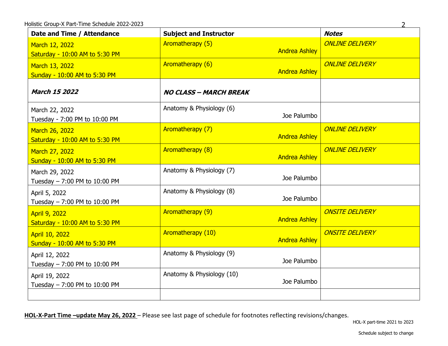| Date and Time / Attendance                             | <b>Subject and Instructor</b>             | <b>Notes</b>           |
|--------------------------------------------------------|-------------------------------------------|------------------------|
| March 12, 2022<br>Saturday - 10:00 AM to 5:30 PM       | Aromatherapy (5)<br><b>Andrea Ashley</b>  | <b>ONLINE DELIVERY</b> |
| March 13, 2022<br>Sunday - 10:00 AM to 5:30 PM         | Aromatherapy (6)<br><b>Andrea Ashley</b>  | <b>ONLINE DELIVERY</b> |
| <b>March 15 2022</b>                                   | <b>NO CLASS - MARCH BREAK</b>             |                        |
| March 22, 2022<br>Tuesday - 7:00 PM to 10:00 PM        | Anatomy & Physiology (6)<br>Joe Palumbo   |                        |
| March 26, 2022<br>Saturday - 10:00 AM to 5:30 PM       | Aromatherapy (7)<br><b>Andrea Ashley</b>  | <b>ONLINE DELIVERY</b> |
| March 27, 2022<br>Sunday - 10:00 AM to 5:30 PM         | Aromatherapy (8)<br><b>Andrea Ashley</b>  | <b>ONLINE DELIVERY</b> |
| March 29, 2022<br>Tuesday - 7:00 PM to 10:00 PM        | Anatomy & Physiology (7)<br>Joe Palumbo   |                        |
| April 5, 2022<br>Tuesday - 7:00 PM to 10:00 PM         | Anatomy & Physiology (8)<br>Joe Palumbo   |                        |
| <b>April 9, 2022</b><br>Saturday - 10:00 AM to 5:30 PM | Aromatherapy (9)<br><b>Andrea Ashley</b>  | <b>ONSITE DELIVERY</b> |
| April 10, 2022<br>Sunday - 10:00 AM to 5:30 PM         | Aromatherapy (10)<br><b>Andrea Ashley</b> | <b>ONSITE DELIVERY</b> |
| April 12, 2022<br>Tuesday - 7:00 PM to 10:00 PM        | Anatomy & Physiology (9)<br>Joe Palumbo   |                        |
| April 19, 2022<br>Tuesday - 7:00 PM to 10:00 PM        | Anatomy & Physiology (10)<br>Joe Palumbo  |                        |
|                                                        |                                           |                        |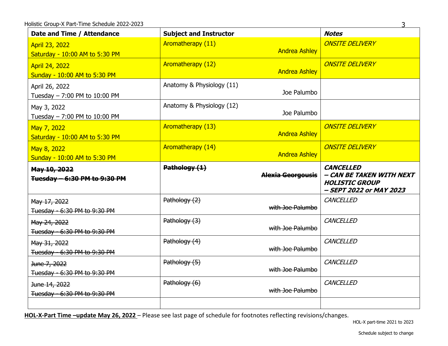| Date and Time / Attendance                              | <b>Subject and Instructor</b> |                          | <b>Notes</b>                                                                                     |
|---------------------------------------------------------|-------------------------------|--------------------------|--------------------------------------------------------------------------------------------------|
| <b>April 23, 2022</b><br>Saturday - 10:00 AM to 5:30 PM | Aromatherapy (11)             | <b>Andrea Ashley</b>     | <b>ONSITE DELIVERY</b>                                                                           |
| April 24, 2022<br>Sunday - 10:00 AM to 5:30 PM          | <b>Aromatherapy (12)</b>      | <b>Andrea Ashley</b>     | <b>ONSITE DELIVERY</b>                                                                           |
| April 26, 2022<br>Tuesday - 7:00 PM to 10:00 PM         | Anatomy & Physiology (11)     | Joe Palumbo              |                                                                                                  |
| May 3, 2022<br>Tuesday $- 7:00$ PM to 10:00 PM          | Anatomy & Physiology (12)     | Joe Palumbo              |                                                                                                  |
| May 7, 2022<br>Saturday - 10:00 AM to 5:30 PM           | <b>Aromatherapy (13)</b>      | <b>Andrea Ashley</b>     | <b>ONSITE DELIVERY</b>                                                                           |
| May 8, 2022<br>Sunday - 10:00 AM to 5:30 PM             | Aromatherapy (14)             | <b>Andrea Ashley</b>     | <b>ONSITE DELIVERY</b>                                                                           |
|                                                         |                               |                          |                                                                                                  |
| May 10, 2022<br>Tuesday - 6:30 PM to 9:30 PM            | Pathology (1)                 | <b>Alexia Georgousis</b> | <b>CANCELLED</b><br>- CAN BE TAKEN WITH NEXT<br><b>HOLISTIC GROUP</b><br>- SEPT 2022 or MAY 2023 |
| May 17, 2022<br>Tuesday - 6:30 PM to 9:30 PM            | Pathology (2)                 | with Joe Palumbo         | CANCELLED                                                                                        |
| May 24, 2022<br>Tuesday - 6:30 PM to 9:30 PM            | Pathology (3)                 | with Joe Palumbo         | CANCELLED                                                                                        |
| May 31, 2022<br>Tuesday - 6:30 PM to 9:30 PM            | Pathology (4)                 | with Joe Palumbo         | CANCELLED                                                                                        |
| June 7, 2022<br>Tuesday - 6:30 PM to 9:30 PM            | Pathology (5)                 | with Joe Palumbo         | CANCELLED                                                                                        |
| June 14, 2022<br>Tuesday - 6:30 PM to 9:30 PM           | Pathology (6)                 | with Joe Palumbo         | CANCELLED                                                                                        |

3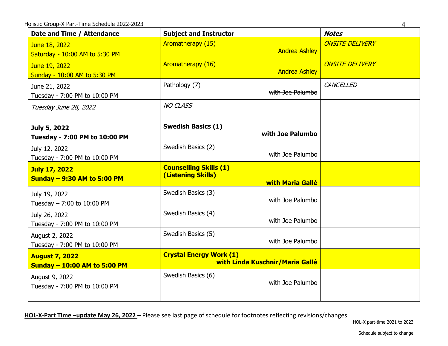| Date and Time / Attendance                                   | <b>Subject and Instructor</b>                                                  | <b>Notes</b>           |
|--------------------------------------------------------------|--------------------------------------------------------------------------------|------------------------|
| June 18, 2022<br>Saturday - 10:00 AM to 5:30 PM              | Aromatherapy (15)<br><b>Andrea Ashley</b>                                      | <b>ONSITE DELIVERY</b> |
| June 19, 2022<br>Sunday - 10:00 AM to 5:30 PM                | Aromatherapy (16)<br><b>Andrea Ashley</b>                                      | <b>ONSITE DELIVERY</b> |
| June 21, 2022<br>Tuesday - 7:00 PM to 10:00 PM               | Pathology (7)<br>with Joe Palumbo                                              | CANCELLED              |
| Tuesday June 28, 2022                                        | <b>NO CLASS</b>                                                                |                        |
| July 5, 2022<br>Tuesday - 7:00 PM to 10:00 PM                | <b>Swedish Basics (1)</b><br>with Joe Palumbo                                  |                        |
| July 12, 2022<br>Tuesday - 7:00 PM to 10:00 PM               | Swedish Basics (2)<br>with Joe Palumbo                                         |                        |
| <b>July 17, 2022</b><br><b>Sunday - 9:30 AM to 5:00 PM</b>   | <b>Counselling Skills (1)</b><br>(Listening Skills)<br><b>with Maria Gallé</b> |                        |
| July 19, 2022<br>Tuesday $- 7:00$ to 10:00 PM                | Swedish Basics (3)<br>with Joe Palumbo                                         |                        |
| July 26, 2022<br>Tuesday - 7:00 PM to 10:00 PM               | Swedish Basics (4)<br>with Joe Palumbo                                         |                        |
| August 2, 2022<br>Tuesday - 7:00 PM to 10:00 PM              | Swedish Basics (5)<br>with Joe Palumbo                                         |                        |
| <b>August 7, 2022</b><br><b>Sunday - 10:00 AM to 5:00 PM</b> | <b>Crystal Energy Work (1)</b><br>with Linda Kuschnir/Maria Gallé              |                        |
| August 9, 2022<br>Tuesday - 7:00 PM to 10:00 PM              | Swedish Basics (6)<br>with Joe Palumbo                                         |                        |
|                                                              |                                                                                |                        |

HOL-X part-time 2021 to 2023

4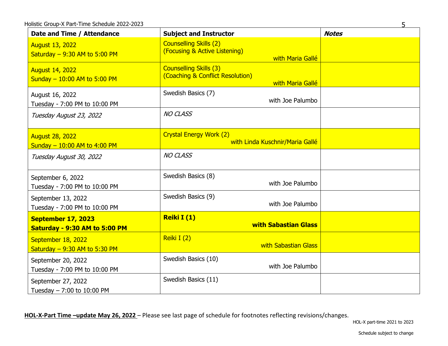| Date and Time / Attendance                               | <b>Subject and Instructor</b>                                                         | <b>Notes</b> |
|----------------------------------------------------------|---------------------------------------------------------------------------------------|--------------|
| <b>August 13, 2022</b><br>Saturday $-9:30$ AM to 5:00 PM | <b>Counselling Skills (2)</b><br>(Focusing & Active Listening)<br>with Maria Gallé    |              |
| <b>August 14, 2022</b><br>Sunday - 10:00 AM to 5:00 PM   | <b>Counselling Skills (3)</b><br>(Coaching & Conflict Resolution)<br>with Maria Gallé |              |
| August 16, 2022<br>Tuesday - 7:00 PM to 10:00 PM         | Swedish Basics (7)<br>with Joe Palumbo                                                |              |
| Tuesday August 23, 2022                                  | <b>NO CLASS</b>                                                                       |              |
| <b>August 28, 2022</b><br>Sunday - 10:00 AM to 4:00 PM   | <b>Crystal Energy Work (2)</b><br>with Linda Kuschnir/Maria Gallé                     |              |
| Tuesday August 30, 2022                                  | <b>NO CLASS</b>                                                                       |              |
| September 6, 2022<br>Tuesday - 7:00 PM to 10:00 PM       | Swedish Basics (8)<br>with Joe Palumbo                                                |              |
| September 13, 2022<br>Tuesday - 7:00 PM to 10:00 PM      | Swedish Basics (9)<br>with Joe Palumbo                                                |              |
| September 17, 2023<br>Saturday - 9:30 AM to 5:00 PM      | Reiki I(1)<br><b>with Sabastian Glass</b>                                             |              |
| September 18, 2022<br>Saturday $-9:30$ AM to 5:30 PM     | Reiki I (2)<br>with Sabastian Glass                                                   |              |
| September 20, 2022<br>Tuesday - 7:00 PM to 10:00 PM      | Swedish Basics (10)<br>with Joe Palumbo                                               |              |
| September 27, 2022<br>Tuesday $- 7:00$ to 10:00 PM       | Swedish Basics (11)                                                                   |              |

HOL-X part-time 2021 to 2023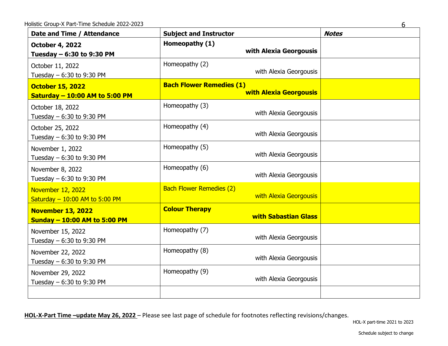| Date and Time / Attendance                                       | <b>Subject and Instructor</b>                                    | <b>Notes</b> |
|------------------------------------------------------------------|------------------------------------------------------------------|--------------|
| <b>October 4, 2022</b><br>Tuesday - 6:30 to 9:30 PM              | Homeopathy (1)<br>with Alexia Georgousis                         |              |
| October 11, 2022<br>Tuesday $-6:30$ to 9:30 PM                   | Homeopathy (2)<br>with Alexia Georgousis                         |              |
| <b>October 15, 2022</b><br><b>Saturday - 10:00 AM to 5:00 PM</b> | <b>Bach Flower Remedies (1)</b><br><b>with Alexia Georgousis</b> |              |
| October 18, 2022<br>Tuesday $-6:30$ to 9:30 PM                   | Homeopathy (3)<br>with Alexia Georgousis                         |              |
| October 25, 2022<br>Tuesday - 6:30 to 9:30 PM                    | Homeopathy (4)<br>with Alexia Georgousis                         |              |
| November 1, 2022<br>Tuesday - 6:30 to 9:30 PM                    | Homeopathy (5)<br>with Alexia Georgousis                         |              |
| November 8, 2022<br>Tuesday - 6:30 to 9:30 PM                    | Homeopathy (6)<br>with Alexia Georgousis                         |              |
| November 12, 2022<br>Saturday $-10:00$ AM to 5:00 PM             | <b>Bach Flower Remedies (2)</b><br>with Alexia Georgousis        |              |
| <b>November 13, 2022</b><br><b>Sunday - 10:00 AM to 5:00 PM</b>  | <b>Colour Therapy</b><br><b>with Sabastian Glass</b>             |              |
| November 15, 2022<br>Tuesday - 6:30 to 9:30 PM                   | Homeopathy (7)<br>with Alexia Georgousis                         |              |
| November 22, 2022<br>Tuesday $-6:30$ to 9:30 PM                  | Homeopathy (8)<br>with Alexia Georgousis                         |              |
| November 29, 2022<br>Tuesday $-6:30$ to 9:30 PM                  | Homeopathy (9)<br>with Alexia Georgousis                         |              |
|                                                                  |                                                                  |              |

HOL-X part-time 2021 to 2023

6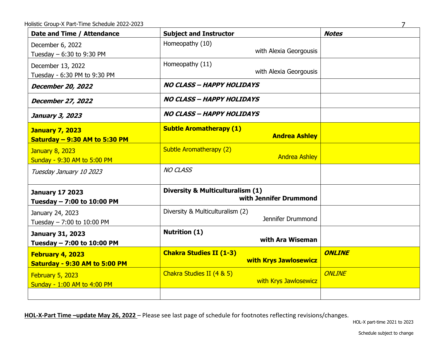| Date and Time / Attendance                              | <b>Subject and Instructor</b>                                         | <b>Notes</b>  |
|---------------------------------------------------------|-----------------------------------------------------------------------|---------------|
| December 6, 2022<br>Tuesday - 6:30 to 9:30 PM           | Homeopathy (10)<br>with Alexia Georgousis                             |               |
| December 13, 2022<br>Tuesday - 6:30 PM to 9:30 PM       | Homeopathy (11)<br>with Alexia Georgousis                             |               |
| December 20, 2022                                       | <b>NO CLASS - HAPPY HOLIDAYS</b>                                      |               |
| December 27, 2022                                       | <b>NO CLASS - HAPPY HOLIDAYS</b>                                      |               |
| January 3, 2023                                         | <b>NO CLASS - HAPPY HOLIDAYS</b>                                      |               |
| <b>January 7, 2023</b><br>Saturday - 9:30 AM to 5:30 PM | <b>Subtle Aromatherapy (1)</b><br><b>Andrea Ashley</b>                |               |
| <b>January 8, 2023</b><br>Sunday - 9:30 AM to 5:00 PM   | <b>Subtle Aromatherapy (2)</b><br><b>Andrea Ashley</b>                |               |
| Tuesday January 10 2023                                 | <b>NO CLASS</b>                                                       |               |
| <b>January 17 2023</b><br>Tuesday - 7:00 to 10:00 PM    | <b>Diversity &amp; Multiculturalism (1)</b><br>with Jennifer Drummond |               |
| January 24, 2023<br>Tuesday - 7:00 to 10:00 PM          | Diversity & Multiculturalism (2)<br>Jennifer Drummond                 |               |
| <b>January 31, 2023</b><br>Tuesday - 7:00 to 10:00 PM   | <b>Nutrition (1)</b><br>with Ara Wiseman                              |               |
| February 4, 2023<br>Saturday - 9:30 AM to 5:00 PM       | <b>Chakra Studies II (1-3)</b><br><b>with Krys Jawlosewicz</b>        | <b>ONLINE</b> |
| February 5, 2023<br>Sunday - 1:00 AM to 4:00 PM         | Chakra Studies II (4 & 5)<br>with Krys Jawlosewicz                    | ONLINE        |
|                                                         |                                                                       |               |

HOL-X part-time 2021 to 2023

Schedule subject to change

7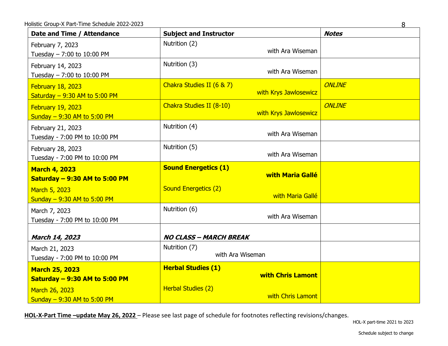| Date and Time / Attendance                                    | <b>Subject and Instructor</b>                         | <b>Notes</b> |
|---------------------------------------------------------------|-------------------------------------------------------|--------------|
| February 7, 2023<br>Tuesday $- 7:00$ to 10:00 PM              | Nutrition (2)<br>with Ara Wiseman                     |              |
| February 14, 2023<br>Tuesday - 7:00 to 10:00 PM               | Nutrition (3)<br>with Ara Wiseman                     |              |
| February 18, 2023<br>Saturday $-9:30$ AM to 5:00 PM           | Chakra Studies II (6 & 7)<br>with Krys Jawlosewicz    | ONLINE       |
| February 19, 2023<br>Sunday $-9:30$ AM to 5:00 PM             | Chakra Studies II (8-10)<br>with Krys Jawlosewicz     | ONLINE       |
| February 21, 2023<br>Tuesday - 7:00 PM to 10:00 PM            | Nutrition (4)<br>with Ara Wiseman                     |              |
| February 28, 2023<br>Tuesday - 7:00 PM to 10:00 PM            | Nutrition (5)<br>with Ara Wiseman                     |              |
| <b>March 4, 2023</b><br><b>Saturday - 9:30 AM to 5:00 PM</b>  | <b>Sound Energetics (1)</b><br>with Maria Gallé       |              |
| March 5, 2023<br>Sunday $-9:30$ AM to 5:00 PM                 | <b>Sound Energetics (2)</b><br>with Maria Gallé       |              |
| March 7, 2023<br>Tuesday - 7:00 PM to 10:00 PM                | Nutrition (6)<br>with Ara Wiseman                     |              |
| March 14, 2023                                                | <b>NO CLASS - MARCH BREAK</b>                         |              |
| March 21, 2023<br>Tuesday - 7:00 PM to 10:00 PM               | Nutrition (7)<br>with Ara Wiseman                     |              |
| <b>March 25, 2023</b><br><b>Saturday - 9:30 AM to 5:00 PM</b> | <b>Herbal Studies (1)</b><br><b>with Chris Lamont</b> |              |
| March 26, 2023<br>Sunday - 9:30 AM to 5:00 PM                 | Herbal Studies (2)<br>with Chris Lamont               |              |

8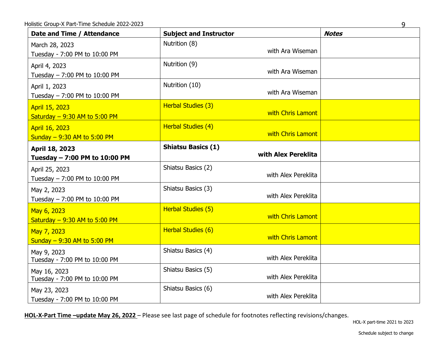| Iolistic Group-X Part-Time Schedule 2022-2023     |                                                  | 9            |
|---------------------------------------------------|--------------------------------------------------|--------------|
| Date and Time / Attendance                        | <b>Subject and Instructor</b>                    | <b>Notes</b> |
| March 28, 2023<br>Tuesday - 7:00 PM to 10:00 PM   | Nutrition (8)<br>with Ara Wiseman                |              |
| April 4, 2023<br>Tuesday $- 7:00$ PM to 10:00 PM  | Nutrition (9)<br>with Ara Wiseman                |              |
| April 1, 2023<br>Tuesday $- 7:00$ PM to 10:00 PM  | Nutrition (10)<br>with Ara Wiseman               |              |
| April 15, 2023<br>Saturday $-9:30$ AM to 5:00 PM  | Herbal Studies (3)<br>with Chris Lamont          |              |
| April 16, 2023<br>Sunday $-9:30$ AM to 5:00 PM    | Herbal Studies (4)<br>with Chris Lamont          |              |
| April 18, 2023<br>Tuesday - 7:00 PM to 10:00 PM   | <b>Shiatsu Basics (1)</b><br>with Alex Pereklita |              |
| April 25, 2023<br>Tuesday $- 7:00$ PM to 10:00 PM | Shiatsu Basics (2)<br>with Alex Pereklita        |              |
| May 2, 2023<br>Tuesday - 7:00 PM to 10:00 PM      | Shiatsu Basics (3)<br>with Alex Pereklita        |              |
| May 6, 2023<br>Saturday $-9:30$ AM to 5:00 PM     | Herbal Studies (5)<br>with Chris Lamont          |              |
| May 7, 2023<br>Sunday $-9:30$ AM to 5:00 PM       | Herbal Studies (6)<br>with Chris Lamont          |              |
| May 9, 2023<br>Tuesday - 7:00 PM to 10:00 PM      | Shiatsu Basics (4)<br>with Alex Pereklita        |              |
| May 16, 2023<br>Tuesday - 7:00 PM to 10:00 PM     | Shiatsu Basics (5)<br>with Alex Pereklita        |              |
| May 23, 2023<br>Tuesday - 7:00 PM to 10:00 PM     | Shiatsu Basics (6)<br>with Alex Pereklita        |              |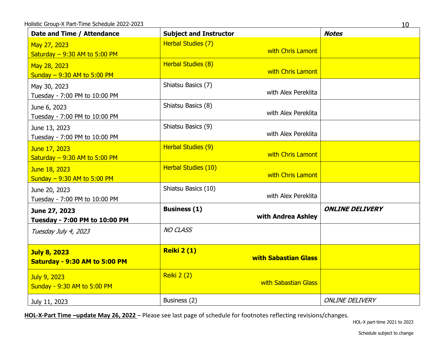| Date and Time / Attendance     | <b>Subject and Instructor</b> | <b>Notes</b>           |
|--------------------------------|-------------------------------|------------------------|
| May 27, 2023                   | Herbal Studies (7)            |                        |
| Saturday $-9:30$ AM to 5:00 PM | with Chris Lamont             |                        |
| May 28, 2023                   | Herbal Studies (8)            |                        |
| Sunday $-9:30$ AM to 5:00 PM   | with Chris Lamont             |                        |
| May 30, 2023                   | Shiatsu Basics (7)            |                        |
| Tuesday - 7:00 PM to 10:00 PM  | with Alex Pereklita           |                        |
| June 6, 2023                   | Shiatsu Basics (8)            |                        |
| Tuesday - 7:00 PM to 10:00 PM  | with Alex Pereklita           |                        |
| June 13, 2023                  | Shiatsu Basics (9)            |                        |
| Tuesday - 7:00 PM to 10:00 PM  | with Alex Pereklita           |                        |
| June 17, 2023                  | Herbal Studies (9)            |                        |
| Saturday $-9:30$ AM to 5:00 PM | with Chris Lamont             |                        |
| June 18, 2023                  | Herbal Studies (10)           |                        |
| Sunday $-9:30$ AM to 5:00 PM   | with Chris Lamont             |                        |
| June 20, 2023                  | Shiatsu Basics (10)           |                        |
| Tuesday - 7:00 PM to 10:00 PM  | with Alex Pereklita           |                        |
| June 27, 2023                  | <b>Business (1)</b>           | <b>ONLINE DELIVERY</b> |
| Tuesday - 7:00 PM to 10:00 PM  | with Andrea Ashley            |                        |
| Tuesday July 4, 2023           | <b>NO CLASS</b>               |                        |
|                                |                               |                        |
| <b>July 8, 2023</b>            | <b>Reiki 2 (1)</b>            |                        |
| Saturday - 9:30 AM to 5:00 PM  | <b>with Sabastian Glass</b>   |                        |
| July 9, 2023                   | <b>Reiki 2 (2)</b>            |                        |
| Sunday - 9:30 AM to 5:00 PM    | with Sabastian Glass          |                        |
|                                |                               |                        |
| July 11, 2023                  | Business (2)                  | <b>ONLINE DELIVERY</b> |

HOL-X part-time 2021 to 2023

Schedule subject to change

10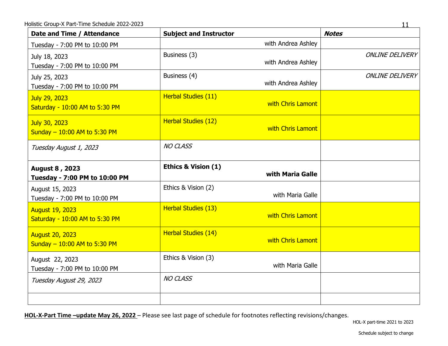| Date and Time / Attendance                               | <b>Subject and Instructor</b>                      | <b>Notes</b>           |
|----------------------------------------------------------|----------------------------------------------------|------------------------|
| Tuesday - 7:00 PM to 10:00 PM                            | with Andrea Ashley                                 |                        |
| July 18, 2023<br>Tuesday - 7:00 PM to 10:00 PM           | Business (3)<br>with Andrea Ashley                 | <b>ONLINE DELIVERY</b> |
| July 25, 2023<br>Tuesday - 7:00 PM to 10:00 PM           | Business (4)<br>with Andrea Ashley                 | <b>ONLINE DELIVERY</b> |
| July 29, 2023<br>Saturday - 10:00 AM to 5:30 PM          | Herbal Studies (11)<br>with Chris Lamont           |                        |
| July 30, 2023<br>Sunday - 10:00 AM to 5:30 PM            | Herbal Studies (12)<br>with Chris Lamont           |                        |
| Tuesday August 1, 2023                                   | <b>NO CLASS</b>                                    |                        |
| August 8, 2023<br>Tuesday - 7:00 PM to 10:00 PM          | <b>Ethics &amp; Vision (1)</b><br>with Maria Galle |                        |
| August 15, 2023<br>Tuesday - 7:00 PM to 10:00 PM         | Ethics & Vision (2)<br>with Maria Galle            |                        |
| <b>August 19, 2023</b><br>Saturday - 10:00 AM to 5:30 PM | Herbal Studies (13)<br>with Chris Lamont           |                        |
| <b>August 20, 2023</b><br>Sunday - 10:00 AM to 5:30 PM   | Herbal Studies (14)<br>with Chris Lamont           |                        |
| August 22, 2023<br>Tuesday - 7:00 PM to 10:00 PM         | Ethics & Vision (3)<br>with Maria Galle            |                        |
| Tuesday August 29, 2023                                  | <b>NO CLASS</b>                                    |                        |
|                                                          |                                                    |                        |

11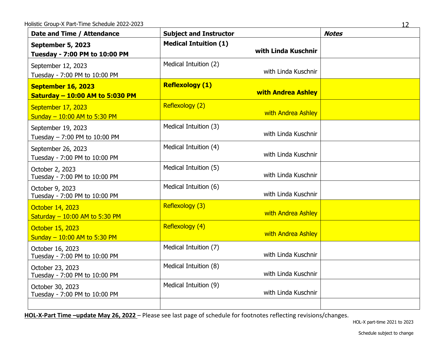| Date and Time / Attendance                            | <b>Subject and Instructor</b> | <b>Notes</b>              |  |
|-------------------------------------------------------|-------------------------------|---------------------------|--|
| September 5, 2023<br>Tuesday - 7:00 PM to 10:00 PM    | <b>Medical Intuition (1)</b>  | with Linda Kuschnir       |  |
| September 12, 2023<br>Tuesday - 7:00 PM to 10:00 PM   | Medical Intuition (2)         | with Linda Kuschnir       |  |
| September 16, 2023<br>Saturday - 10:00 AM to 5:030 PM | <b>Reflexology (1)</b>        | <b>with Andrea Ashley</b> |  |
| September 17, 2023<br>Sunday - 10:00 AM to 5:30 PM    | Reflexology (2)               | with Andrea Ashley        |  |
| September 19, 2023<br>Tuesday - 7:00 PM to 10:00 PM   | Medical Intuition (3)         | with Linda Kuschnir       |  |
| September 26, 2023<br>Tuesday - 7:00 PM to 10:00 PM   | Medical Intuition (4)         | with Linda Kuschnir       |  |
| October 2, 2023<br>Tuesday - 7:00 PM to 10:00 PM      | Medical Intuition (5)         | with Linda Kuschnir       |  |
| October 9, 2023<br>Tuesday - 7:00 PM to 10:00 PM      | Medical Intuition (6)         | with Linda Kuschnir       |  |
| October 14, 2023<br>Saturday $-10:00$ AM to 5:30 PM   | Reflexology (3)               | with Andrea Ashley        |  |
| October 15, 2023<br>Sunday - 10:00 AM to 5:30 PM      | Reflexology (4)               | with Andrea Ashley        |  |
| October 16, 2023<br>Tuesday - 7:00 PM to 10:00 PM     | Medical Intuition (7)         | with Linda Kuschnir       |  |
| October 23, 2023<br>Tuesday - 7:00 PM to 10:00 PM     | Medical Intuition (8)         | with Linda Kuschnir       |  |
| October 30, 2023<br>Tuesday - 7:00 PM to 10:00 PM     | Medical Intuition (9)         | with Linda Kuschnir       |  |
|                                                       |                               |                           |  |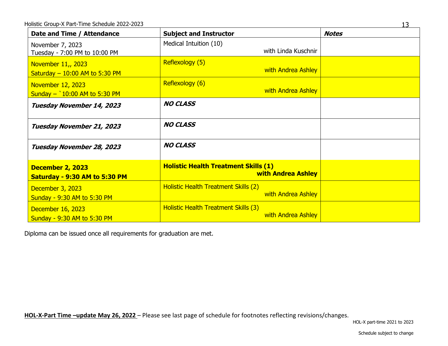| Date and Time / Attendance                                 | <b>Subject and Instructor</b>                                            | <b>Notes</b> |
|------------------------------------------------------------|--------------------------------------------------------------------------|--------------|
| November 7, 2023<br>Tuesday - 7:00 PM to 10:00 PM          | Medical Intuition (10)<br>with Linda Kuschnir                            |              |
| November 11,, 2023<br>Saturday $-10:00$ AM to 5:30 PM      | Reflexology (5)<br>with Andrea Ashley                                    |              |
| <b>November 12, 2023</b><br>Sunday $-$ 10:00 AM to 5:30 PM | Reflexology (6)<br>with Andrea Ashley                                    |              |
| Tuesday November 14, 2023                                  | <b>NO CLASS</b>                                                          |              |
| Tuesday November 21, 2023                                  | <b>NO CLASS</b>                                                          |              |
| Tuesday November 28, 2023                                  | <b>NO CLASS</b>                                                          |              |
| December 2, 2023<br>Saturday - 9:30 AM to 5:30 PM          | <b>Holistic Health Treatment Skills (1)</b><br><b>with Andrea Ashley</b> |              |
| December 3, 2023<br>Sunday - 9:30 AM to 5:30 PM            | Holistic Health Treatment Skills (2)<br>with Andrea Ashley               |              |
| December 16, 2023<br>Sunday - 9:30 AM to 5:30 PM           | Holistic Health Treatment Skills (3)<br>with Andrea Ashley               |              |

Diploma can be issued once all requirements for graduation are met.

**HOL-X-Part Time –update May 26, 2022** – Please see last page of schedule for footnotes reflecting revisions/changes.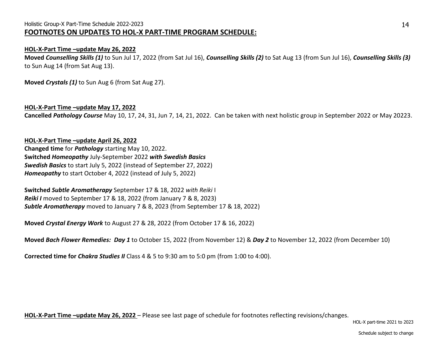# Holistic Group-X Part-Time Schedule 2022-2023 **FOOTNOTES ON UPDATES TO HOL-X PART-TIME PROGRAM SCHEDULE:**

### **HOL-X-Part Time –update May 26, 2022**

**Moved** *Counselling Skills (1)* to Sun Jul 17, 2022 (from Sat Jul 16), *Counselling Skills (2)* to Sat Aug 13 (from Sun Jul 16), *Counselling Skills (3)*  to Sun Aug 14 (from Sat Aug 13).

**Moved** *Crystals (1)* to Sun Aug 6 (from Sat Aug 27).

## **HOL-X-Part Time –update May 17, 2022**

**Cancelled** *Pathology Course* May 10, 17, 24, 31, Jun 7, 14, 21, 2022. Can be taken with next holistic group in September 2022 or May 20223.

#### **HOL-X-Part Time –update April 26, 2022**

**Changed time** for *Pathology* starting May 10, 2022. **Switched** *Homeopathy* July-September 2022 *with Swedish Basics Swedish Basics* to start July 5, 2022 (instead of September 27, 2022) *Homeopathy* to start October 4, 2022 (instead of July 5, 2022)

**Switched** *Subtle Aromatherapy* September 17 & 18, 2022 *with Reiki* I *Reiki I* moved to September 17 & 18, 2022 (from January 7 & 8, 2023) *Subtle Aromatherapy* moved to January 7 & 8, 2023 (from September 17 & 18, 2022)

**Moved** *Crystal Energy Work* to August 27 & 28, 2022 (from October 17 & 16, 2022)

**Moved** *Bach Flower Remedies: Day 1* to October 15, 2022 (from November 12) & *Day 2* to November 12, 2022 (from December 10)

**Corrected time for** *Chakra Studies II* Class 4 & 5 to 9:30 am to 5:0 pm (from 1:00 to 4:00).

**HOL-X-Part Time –update May 26, 2022** – Please see last page of schedule for footnotes reflecting revisions/changes.

HOL-X part-time 2021 to 2023